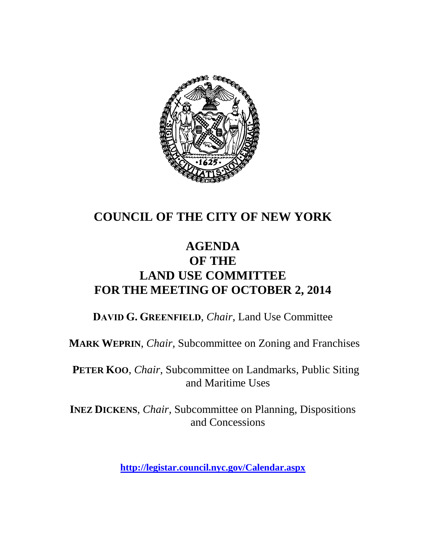

# **COUNCIL OF THE CITY OF NEW YORK**

# **AGENDA OF THE LAND USE COMMITTEE FOR THE MEETING OF OCTOBER 2, 2014**

**DAVID G. GREENFIELD**, *Chair*, Land Use Committee

**MARK WEPRIN**, *Chair*, Subcommittee on Zoning and Franchises

**PETER KOO**, *Chair*, Subcommittee on Landmarks, Public Siting and Maritime Uses

**INEZ DICKENS**, *Chair,* Subcommittee on Planning, Dispositions and Concessions

**<http://legistar.council.nyc.gov/Calendar.aspx>**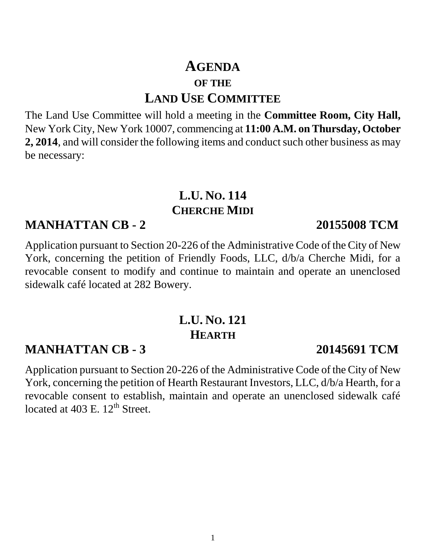# **AGENDA OF THE LAND USE COMMITTEE**

The Land Use Committee will hold a meeting in the **Committee Room, City Hall,**  New York City, New York 10007, commencing at **11:00 A.M. on Thursday, October 2, 2014**, and will consider the following items and conduct such other business as may be necessary:

# **L.U. NO. 114 CHERCHE MIDI**

### **MANHATTAN CB - 2 20155008 TCM**

Application pursuant to Section 20-226 of the Administrative Code of the City of New York, concerning the petition of Friendly Foods, LLC, d/b/a Cherche Midi, for a revocable consent to modify and continue to maintain and operate an unenclosed sidewalk café located at 282 Bowery.

# **L.U. NO. 121 HEARTH**

# **MANHATTAN CB - 3 20145691 TCM**

Application pursuant to Section 20-226 of the Administrative Code of the City of New York, concerning the petition of Hearth Restaurant Investors, LLC, d/b/a Hearth, for a revocable consent to establish, maintain and operate an unenclosed sidewalk café located at  $403$  E.  $12^{th}$  Street.

### 1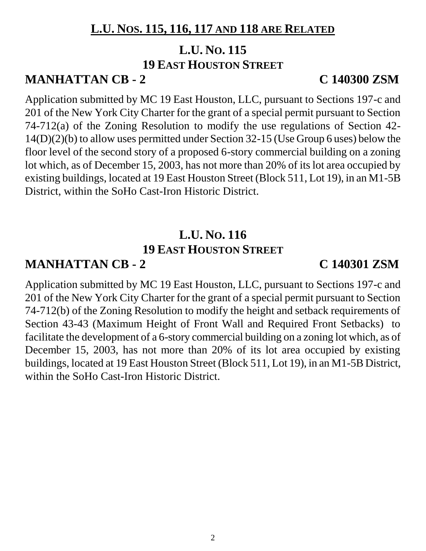# **L.U. NOS. 115, 116, 117 AND 118 ARE RELATED**

# **L.U. NO. 115 19 EAST HOUSTON STREET**

### **MANHATTAN CB - 2 C 140300 ZSM**

Application submitted by MC 19 East Houston, LLC, pursuant to Sections 197-c and 201 of the New York City Charter for the grant of a special permit pursuant to Section 74-712(a) of the Zoning Resolution to modify the use regulations of Section 42- 14(D)(2)(b) to allow uses permitted under Section 32-15 (Use Group 6 uses) below the floor level of the second story of a proposed 6-story commercial building on a zoning lot which, as of December 15, 2003, has not more than 20% of its lot area occupied by existing buildings, located at 19 East Houston Street (Block 511, Lot 19), in an M1-5B District, within the SoHo Cast-Iron Historic District.

# **L.U. NO. 116 19 EAST HOUSTON STREET**

### **MANHATTAN CB - 2 C 140301 ZSM**

Application submitted by MC 19 East Houston, LLC, pursuant to Sections 197-c and 201 of the New York City Charter for the grant of a special permit pursuant to Section 74-712(b) of the Zoning Resolution to modify the height and setback requirements of Section 43-43 (Maximum Height of Front Wall and Required Front Setbacks) to facilitate the development of a 6-story commercial building on a zoning lot which, as of December 15, 2003, has not more than 20% of its lot area occupied by existing buildings, located at 19 East Houston Street (Block 511, Lot 19), in an M1-5B District, within the SoHo Cast-Iron Historic District.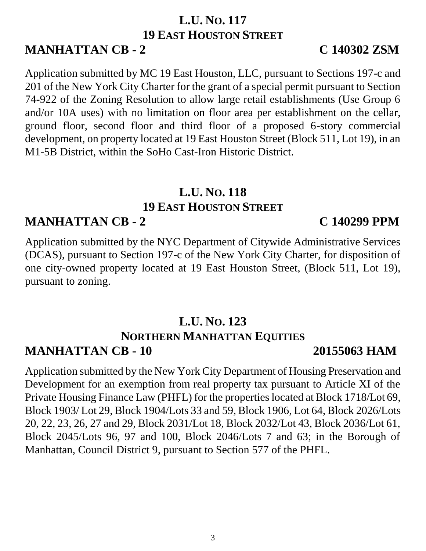# **L.U. NO. 117 19 EAST HOUSTON STREET**

# **MANHATTAN CB - 2 C 140302 ZSM**

Application submitted by MC 19 East Houston, LLC, pursuant to Sections 197-c and 201 of the New York City Charter for the grant of a special permit pursuant to Section 74-922 of the Zoning Resolution to allow large retail establishments (Use Group 6 and/or 10A uses) with no limitation on floor area per establishment on the cellar, ground floor, second floor and third floor of a proposed 6-story commercial development, on property located at 19 East Houston Street (Block 511, Lot 19), in an M1-5B District, within the SoHo Cast-Iron Historic District.

# **L.U. NO. 118 19 EAST HOUSTON STREET**

## **MANHATTAN CB - 2 C 140299 PPM**

Application submitted by the NYC Department of Citywide Administrative Services (DCAS), pursuant to Section 197-c of the New York City Charter, for disposition of one city-owned property located at 19 East Houston Street, (Block 511, Lot 19), pursuant to zoning.

## **L.U. NO. 123 NORTHERN MANHATTAN EQUITIES MANHATTAN CB - 10 20155063 HAM**

Application submitted by the New York City Department of Housing Preservation and Development for an exemption from real property tax pursuant to Article XI of the Private Housing Finance Law (PHFL) for the properties located at Block 1718/Lot 69, Block 1903/ Lot 29, Block 1904/Lots 33 and 59, Block 1906, Lot 64, Block 2026/Lots 20, 22, 23, 26, 27 and 29, Block 2031/Lot 18, Block 2032/Lot 43, Block 2036/Lot 61, Block 2045/Lots 96, 97 and 100, Block 2046/Lots 7 and 63; in the Borough of Manhattan, Council District 9, pursuant to Section 577 of the PHFL.